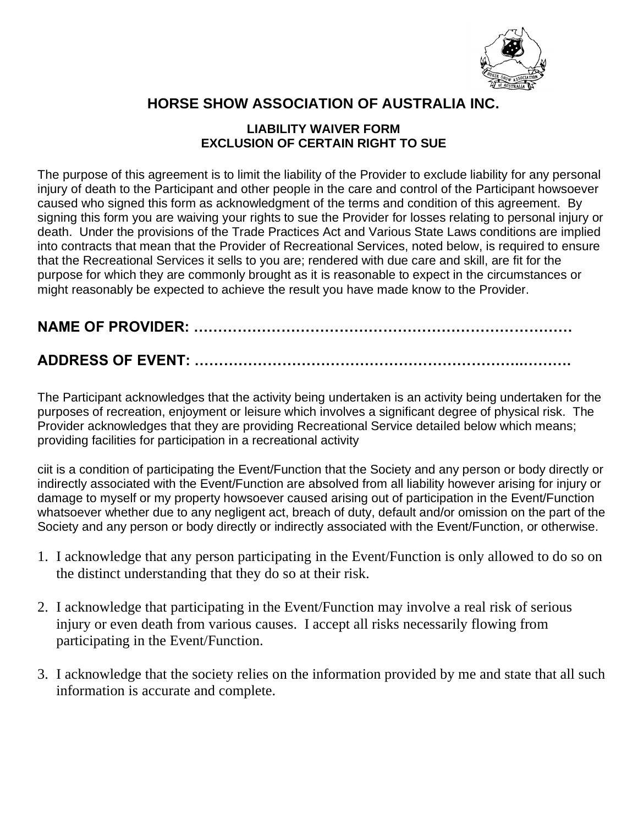

## **HORSE SHOW ASSOCIATION OF AUSTRALIA INC.**

## **LIABILITY WAIVER FORM EXCLUSION OF CERTAIN RIGHT TO SUE**

The purpose of this agreement is to limit the liability of the Provider to exclude liability for any personal injury of death to the Participant and other people in the care and control of the Participant howsoever caused who signed this form as acknowledgment of the terms and condition of this agreement. By signing this form you are waiving your rights to sue the Provider for losses relating to personal injury or death. Under the provisions of the Trade Practices Act and Various State Laws conditions are implied into contracts that mean that the Provider of Recreational Services, noted below, is required to ensure that the Recreational Services it sells to you are; rendered with due care and skill, are fit for the purpose for which they are commonly brought as it is reasonable to expect in the circumstances or might reasonably be expected to achieve the result you have made know to the Provider.

**NAME OF PROVIDER: ……………………………………………………………………**

## **ADDRESS OF EVENT: …………………………………………………………..……….**

The Participant acknowledges that the activity being undertaken is an activity being undertaken for the purposes of recreation, enjoyment or leisure which involves a significant degree of physical risk. The Provider acknowledges that they are providing Recreational Service detailed below which means; providing facilities for participation in a recreational activity

ciit is a condition of participating the Event/Function that the Society and any person or body directly or indirectly associated with the Event/Function are absolved from all liability however arising for injury or damage to myself or my property howsoever caused arising out of participation in the Event/Function whatsoever whether due to any negligent act, breach of duty, default and/or omission on the part of the Society and any person or body directly or indirectly associated with the Event/Function, or otherwise.

- 1. I acknowledge that any person participating in the Event/Function is only allowed to do so on the distinct understanding that they do so at their risk.
- 2. I acknowledge that participating in the Event/Function may involve a real risk of serious injury or even death from various causes. I accept all risks necessarily flowing from participating in the Event/Function.
- 3. I acknowledge that the society relies on the information provided by me and state that all such information is accurate and complete.